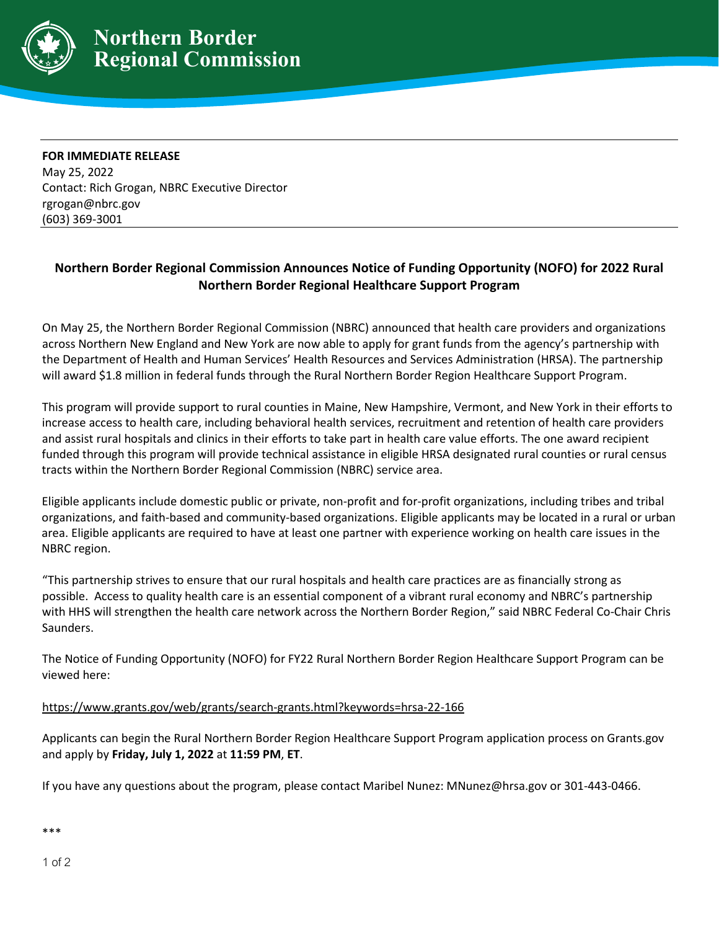

**FOR IMMEDIATE RELEASE** May 25, 2022 Contact: Rich Grogan, NBRC Executive Director rgrogan@nbrc.gov (603) 369-3001

## **Northern Border Regional Commission Announces Notice of Funding Opportunity (NOFO) for 2022 Rural Northern Border Regional Healthcare Support Program**

On May 25, the Northern Border Regional Commission (NBRC) announced that health care providers and organizations across Northern New England and New York are now able to apply for grant funds from the agency's partnership with the Department of Health and Human Services' Health Resources and Services Administration (HRSA). The partnership will award \$1.8 million in federal funds through the Rural Northern Border Region Healthcare Support Program.

This program will provide support to rural counties in Maine, New Hampshire, Vermont, and New York in their efforts to increase access to health care, including behavioral health services, recruitment and retention of health care providers and assist rural hospitals and clinics in their efforts to take part in health care value efforts. The one award recipient funded through this program will provide technical assistance in eligible HRSA designated rural counties or rural census tracts within the Northern Border Regional Commission [\(NBRC\)](https://www.nbrc.gov/content/northern-border-region) service area.

Eligible applicants include domestic public or private, non-profit and for-profit organizations, including tribes and tribal organizations, and faith-based and community-based organizations. Eligible applicants may be located in a rural or urban area. Eligible applicants are required to have at least one partner with experience working on health care issues in the NBRC region.

"This partnership strives to ensure that our rural hospitals and health care practices are as financially strong as possible. Access to quality health care is an essential component of a vibrant rural economy and NBRC's partnership with HHS will strengthen the health care network across the Northern Border Region," said NBRC Federal Co-Chair Chris Saunders.

The Notice of Funding Opportunity (NOFO) for FY22 Rural Northern Border Region Healthcare Support Program can be viewed here:

## [https://www.grants.gov/web/grants/search-grants.html?keywords=hrsa-22-166](https://www.grants.gov/web/grants/search-grants.html?keywords=hrsa-22-166%20)

Applicants can begin the Rural Northern Border Region Healthcare Support Program application process on Grants.gov and apply by **Friday, July 1, 2022** at **11:59 PM**, **ET**.

If you have any questions about the program, please contact Maribel Nunez: [MNunez@hrsa.gov](mailto:MNunez@hrsa.gov) or 301-443-0466.

\*\*\*